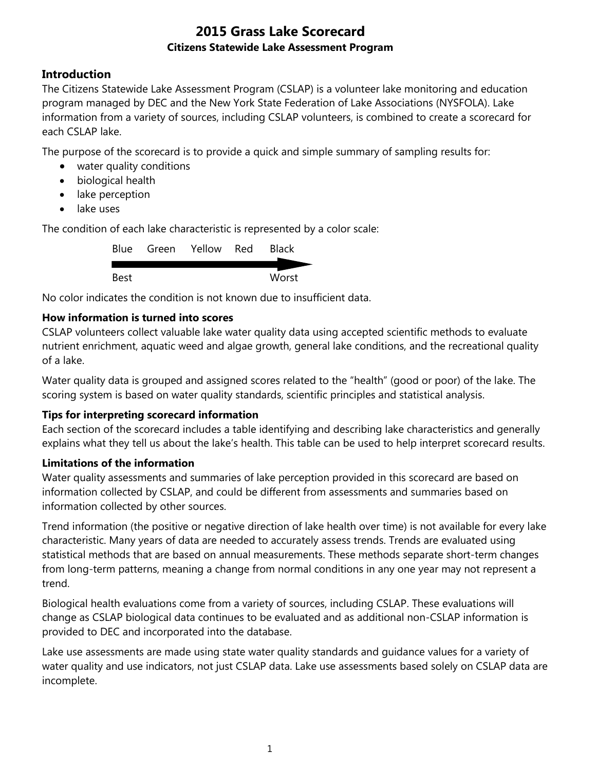## **Introduction**

The Citizens Statewide Lake Assessment Program (CSLAP) is a volunteer lake monitoring and education program managed by DEC and the New York State Federation of Lake Associations (NYSFOLA). Lake information from a variety of sources, including CSLAP volunteers, is combined to create a scorecard for each CSLAP lake.

The purpose of the scorecard is to provide a quick and simple summary of sampling results for:

- water quality conditions
- biological health
- lake perception
- lake uses

The condition of each lake characteristic is represented by a color scale:

|      | Blue Green Yellow Red | <b>Black</b> |
|------|-----------------------|--------------|
|      |                       |              |
| Best |                       | Worst        |

No color indicates the condition is not known due to insufficient data.

#### **How information is turned into scores**

CSLAP volunteers collect valuable lake water quality data using accepted scientific methods to evaluate nutrient enrichment, aquatic weed and algae growth, general lake conditions, and the recreational quality of a lake.

Water quality data is grouped and assigned scores related to the "health" (good or poor) of the lake. The scoring system is based on water quality standards, scientific principles and statistical analysis.

#### **Tips for interpreting scorecard information**

Each section of the scorecard includes a table identifying and describing lake characteristics and generally explains what they tell us about the lake's health. This table can be used to help interpret scorecard results.

#### **Limitations of the information**

Water quality assessments and summaries of lake perception provided in this scorecard are based on information collected by CSLAP, and could be different from assessments and summaries based on information collected by other sources.

Trend information (the positive or negative direction of lake health over time) is not available for every lake characteristic. Many years of data are needed to accurately assess trends. Trends are evaluated using statistical methods that are based on annual measurements. These methods separate short-term changes from long-term patterns, meaning a change from normal conditions in any one year may not represent a trend.

Biological health evaluations come from a variety of sources, including CSLAP. These evaluations will change as CSLAP biological data continues to be evaluated and as additional non-CSLAP information is provided to DEC and incorporated into the database.

Lake use assessments are made using state water quality standards and guidance values for a variety of water quality and use indicators, not just CSLAP data. Lake use assessments based solely on CSLAP data are incomplete.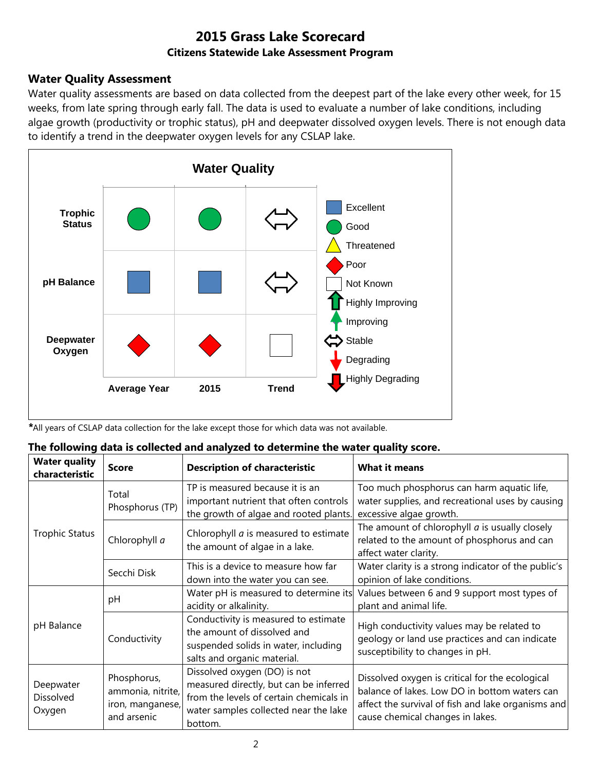### **Water Quality Assessment**

Water quality assessments are based on data collected from the deepest part of the lake every other week, for 15 weeks, from late spring through early fall. The data is used to evaluate a number of lake conditions, including algae growth (productivity or trophic status), pH and deepwater dissolved oxygen levels. There is not enough data to identify a trend in the deepwater oxygen levels for any CSLAP lake.



*\**All years of CSLAP data collection for the lake except those for which data was not available.

|  |  |  |  | The following data is collected and analyzed to determine the water quality score. |
|--|--|--|--|------------------------------------------------------------------------------------|
|--|--|--|--|------------------------------------------------------------------------------------|

| <b>Water quality</b><br>characteristic  | <b>Score</b>                                                        | <b>Description of characteristic</b>                                                                                                                                  | <b>What it means</b>                                                                                                                                                                       |
|-----------------------------------------|---------------------------------------------------------------------|-----------------------------------------------------------------------------------------------------------------------------------------------------------------------|--------------------------------------------------------------------------------------------------------------------------------------------------------------------------------------------|
|                                         | Total<br>Phosphorus (TP)                                            | TP is measured because it is an<br>important nutrient that often controls<br>the growth of algae and rooted plants.                                                   | Too much phosphorus can harm aquatic life,<br>water supplies, and recreational uses by causing<br>excessive algae growth.                                                                  |
| <b>Trophic Status</b>                   | Chlorophyll a                                                       | Chlorophyll <i>a</i> is measured to estimate<br>the amount of algae in a lake.                                                                                        | The amount of chlorophyll $a$ is usually closely<br>related to the amount of phosphorus and can<br>affect water clarity.                                                                   |
|                                         | Secchi Disk                                                         | This is a device to measure how far<br>down into the water you can see.                                                                                               | Water clarity is a strong indicator of the public's<br>opinion of lake conditions.                                                                                                         |
|                                         | рH                                                                  | Water pH is measured to determine its<br>acidity or alkalinity.                                                                                                       | Values between 6 and 9 support most types of<br>plant and animal life.                                                                                                                     |
| pH Balance                              | Conductivity                                                        | Conductivity is measured to estimate<br>the amount of dissolved and<br>suspended solids in water, including<br>salts and organic material.                            | High conductivity values may be related to<br>geology or land use practices and can indicate<br>susceptibility to changes in pH.                                                           |
| Deepwater<br><b>Dissolved</b><br>Oxygen | Phosphorus,<br>ammonia, nitrite,<br>iron, manganese,<br>and arsenic | Dissolved oxygen (DO) is not<br>measured directly, but can be inferred<br>from the levels of certain chemicals in<br>water samples collected near the lake<br>bottom. | Dissolved oxygen is critical for the ecological<br>balance of lakes. Low DO in bottom waters can<br>affect the survival of fish and lake organisms and<br>cause chemical changes in lakes. |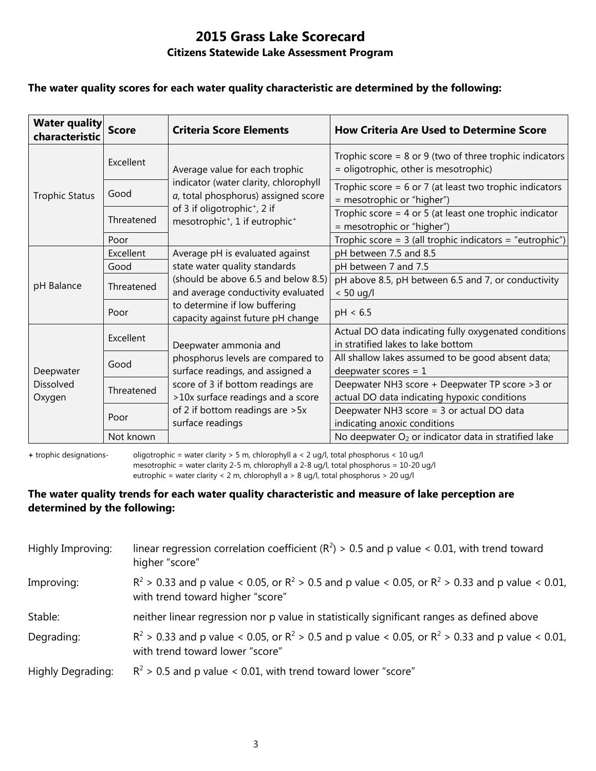#### **The water quality scores for each water quality characteristic are determined by the following:**

| <b>Water quality</b><br>characteristic  | <b>Score</b> | <b>Criteria Score Elements</b>                                                                     | <b>How Criteria Are Used to Determine Score</b>                                                      |
|-----------------------------------------|--------------|----------------------------------------------------------------------------------------------------|------------------------------------------------------------------------------------------------------|
|                                         | Excellent    | Average value for each trophic                                                                     | Trophic score = $8$ or $9$ (two of three trophic indicators<br>= oligotrophic, other is mesotrophic) |
| <b>Trophic Status</b>                   | Good         | indicator (water clarity, chlorophyll<br>a, total phosphorus) assigned score                       | Trophic score = $6$ or 7 (at least two trophic indicators<br>= mesotrophic or "higher")              |
|                                         | Threatened   | of 3 if oligotrophic <sup>+</sup> , 2 if<br>mesotrophic <sup>+</sup> , 1 if eutrophic <sup>+</sup> | Trophic score = $4$ or $5$ (at least one trophic indicator<br>= mesotrophic or "higher")             |
|                                         | Poor         |                                                                                                    | Trophic score = $3$ (all trophic indicators = "eutrophic")                                           |
|                                         | Excellent    | Average pH is evaluated against                                                                    | pH between 7.5 and 8.5                                                                               |
|                                         | Good         | state water quality standards                                                                      | pH between 7 and 7.5                                                                                 |
| pH Balance                              | Threatened   | (should be above 6.5 and below 8.5)<br>and average conductivity evaluated                          | pH above 8.5, pH between 6.5 and 7, or conductivity<br>$< 50$ ug/l                                   |
|                                         | Poor         | to determine if low buffering<br>capacity against future pH change                                 | pH < 6.5                                                                                             |
|                                         | Excellent    | Deepwater ammonia and                                                                              | Actual DO data indicating fully oxygenated conditions<br>in stratified lakes to lake bottom          |
| Deepwater<br><b>Dissolved</b><br>Oxygen | Good         | phosphorus levels are compared to<br>surface readings, and assigned a                              | All shallow lakes assumed to be good absent data;<br>deepwater scores = $1$                          |
|                                         | Threatened   | score of 3 if bottom readings are<br>>10x surface readings and a score                             | Deepwater NH3 score + Deepwater TP score > 3 or<br>actual DO data indicating hypoxic conditions      |
|                                         | Poor         | of 2 if bottom readings are > 5x<br>surface readings                                               | Deepwater NH3 score = 3 or actual DO data<br>indicating anoxic conditions                            |
|                                         | Not known    |                                                                                                    | No deepwater O <sub>2</sub> or indicator data in stratified lake                                     |

**+** trophic designations- oligotrophic = water clarity > 5 m, chlorophyll a < 2 ug/l, total phosphorus < 10 ug/l mesotrophic = water clarity 2-5 m, chlorophyll a 2-8 ug/l, total phosphorus = 10-20 ug/l

eutrophic = water clarity < 2 m, chlorophyll a > 8 ug/l, total phosphorus > 20 ug/l

#### **The water quality trends for each water quality characteristic and measure of lake perception are determined by the following:**

| Highly Improving: | linear regression correlation coefficient ( $R^2$ ) > 0.5 and p value < 0.01, with trend toward<br>higher "score"                           |
|-------------------|---------------------------------------------------------------------------------------------------------------------------------------------|
| Improving:        | $R^2 > 0.33$ and p value < 0.05, or $R^2 > 0.5$ and p value < 0.05, or $R^2 > 0.33$ and p value < 0.01,<br>with trend toward higher "score" |
| Stable:           | neither linear regression nor p value in statistically significant ranges as defined above                                                  |
| Degrading:        | $R^2 > 0.33$ and p value < 0.05, or $R^2 > 0.5$ and p value < 0.05, or $R^2 > 0.33$ and p value < 0.01,<br>with trend toward lower "score"  |
| Highly Degrading: | $R^2$ > 0.5 and p value < 0.01, with trend toward lower "score"                                                                             |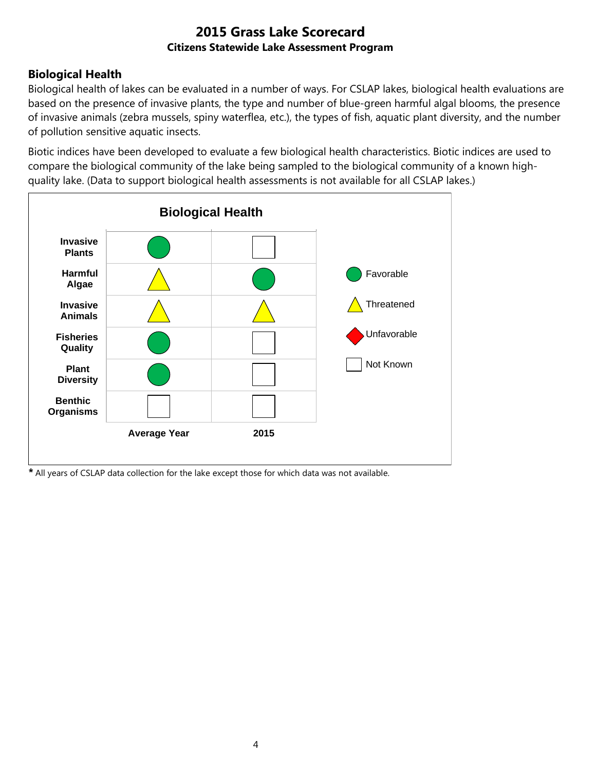## **Biological Health**

Biological health of lakes can be evaluated in a number of ways. For CSLAP lakes, biological health evaluations are based on the presence of invasive plants, the type and number of blue-green harmful algal blooms, the presence of invasive animals (zebra mussels, spiny waterflea, etc.), the types of fish, aquatic plant diversity, and the number of pollution sensitive aquatic insects.

Biotic indices have been developed to evaluate a few biological health characteristics. Biotic indices are used to compare the biological community of the lake being sampled to the biological community of a known highquality lake. (Data to support biological health assessments is not available for all CSLAP lakes.)



*\** All years of CSLAP data collection for the lake except those for which data was not available.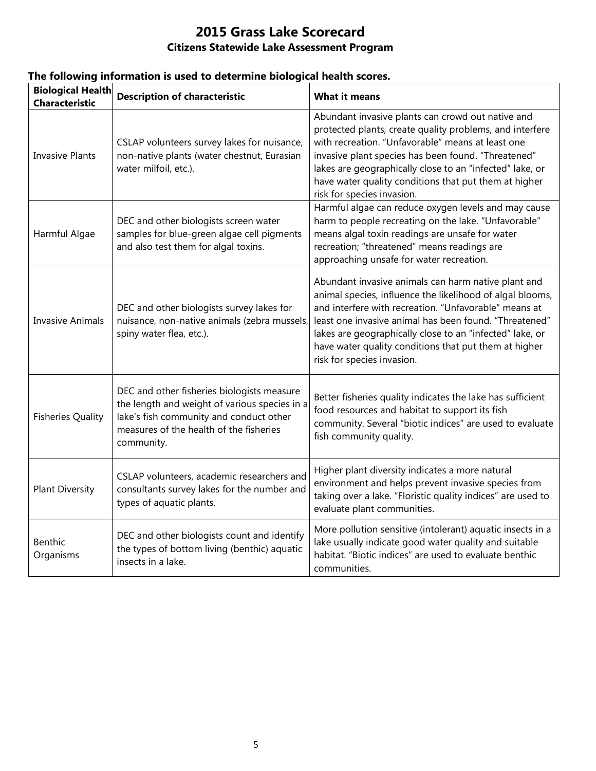| <b>Biological Health</b><br><b>Characteristic</b> | <b>Description of characteristic</b>                                                                                                                                                            | <b>What it means</b>                                                                                                                                                                                                                                                                                                                                                                   |
|---------------------------------------------------|-------------------------------------------------------------------------------------------------------------------------------------------------------------------------------------------------|----------------------------------------------------------------------------------------------------------------------------------------------------------------------------------------------------------------------------------------------------------------------------------------------------------------------------------------------------------------------------------------|
| <b>Invasive Plants</b>                            | CSLAP volunteers survey lakes for nuisance,<br>non-native plants (water chestnut, Eurasian<br>water milfoil, etc.).                                                                             | Abundant invasive plants can crowd out native and<br>protected plants, create quality problems, and interfere<br>with recreation. "Unfavorable" means at least one<br>invasive plant species has been found. "Threatened"<br>lakes are geographically close to an "infected" lake, or<br>have water quality conditions that put them at higher<br>risk for species invasion.           |
| Harmful Algae                                     | DEC and other biologists screen water<br>samples for blue-green algae cell pigments<br>and also test them for algal toxins.                                                                     | Harmful algae can reduce oxygen levels and may cause<br>harm to people recreating on the lake. "Unfavorable"<br>means algal toxin readings are unsafe for water<br>recreation; "threatened" means readings are<br>approaching unsafe for water recreation.                                                                                                                             |
| <b>Invasive Animals</b>                           | DEC and other biologists survey lakes for<br>nuisance, non-native animals (zebra mussels,<br>spiny water flea, etc.).                                                                           | Abundant invasive animals can harm native plant and<br>animal species, influence the likelihood of algal blooms,<br>and interfere with recreation. "Unfavorable" means at<br>least one invasive animal has been found. "Threatened"<br>lakes are geographically close to an "infected" lake, or<br>have water quality conditions that put them at higher<br>risk for species invasion. |
| <b>Fisheries Quality</b>                          | DEC and other fisheries biologists measure<br>the length and weight of various species in a<br>lake's fish community and conduct other<br>measures of the health of the fisheries<br>community. | Better fisheries quality indicates the lake has sufficient<br>food resources and habitat to support its fish<br>community. Several "biotic indices" are used to evaluate<br>fish community quality.                                                                                                                                                                                    |
| <b>Plant Diversity</b>                            | CSLAP volunteers, academic researchers and<br>consultants survey lakes for the number and<br>types of aquatic plants.                                                                           | Higher plant diversity indicates a more natural<br>environment and helps prevent invasive species from<br>taking over a lake. "Floristic quality indices" are used to<br>evaluate plant communities.                                                                                                                                                                                   |
| Benthic<br>Organisms                              | DEC and other biologists count and identify<br>the types of bottom living (benthic) aquatic<br>insects in a lake.                                                                               | More pollution sensitive (intolerant) aquatic insects in a<br>lake usually indicate good water quality and suitable<br>habitat. "Biotic indices" are used to evaluate benthic<br>communities.                                                                                                                                                                                          |

#### **The following information is used to determine biological health scores.**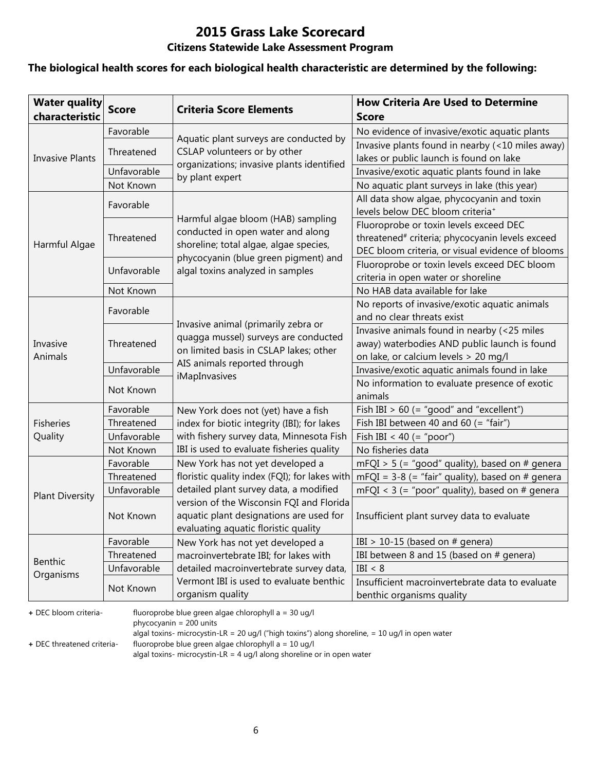#### **The biological health scores for each biological health characteristic are determined by the following:**

| <b>Water quality</b><br>characteristic | <b>Score</b> | <b>Criteria Score Elements</b>                                                                                              | <b>How Criteria Are Used to Determine</b><br><b>Score</b>                                                                                                 |
|----------------------------------------|--------------|-----------------------------------------------------------------------------------------------------------------------------|-----------------------------------------------------------------------------------------------------------------------------------------------------------|
|                                        | Favorable    |                                                                                                                             | No evidence of invasive/exotic aquatic plants                                                                                                             |
|                                        | Threatened   | Aquatic plant surveys are conducted by<br>CSLAP volunteers or by other                                                      | Invasive plants found in nearby (<10 miles away)                                                                                                          |
| <b>Invasive Plants</b>                 |              | organizations; invasive plants identified                                                                                   | lakes or public launch is found on lake                                                                                                                   |
|                                        | Unfavorable  | by plant expert                                                                                                             | Invasive/exotic aquatic plants found in lake                                                                                                              |
|                                        | Not Known    |                                                                                                                             | No aquatic plant surveys in lake (this year)                                                                                                              |
|                                        | Favorable    | Harmful algae bloom (HAB) sampling                                                                                          | All data show algae, phycocyanin and toxin<br>levels below DEC bloom criteria <sup>+</sup>                                                                |
| Harmful Algae                          | Threatened   | conducted in open water and along<br>shoreline; total algae, algae species,                                                 | Fluoroprobe or toxin levels exceed DEC<br>threatened <sup>#</sup> criteria; phycocyanin levels exceed<br>DEC bloom criteria, or visual evidence of blooms |
|                                        | Unfavorable  | phycocyanin (blue green pigment) and<br>algal toxins analyzed in samples                                                    | Fluoroprobe or toxin levels exceed DEC bloom<br>criteria in open water or shoreline                                                                       |
|                                        | Not Known    |                                                                                                                             | No HAB data available for lake                                                                                                                            |
|                                        | Favorable    |                                                                                                                             | No reports of invasive/exotic aquatic animals                                                                                                             |
|                                        |              | Invasive animal (primarily zebra or                                                                                         | and no clear threats exist                                                                                                                                |
| Invasive<br>Animals                    | Threatened   | quagga mussel) surveys are conducted<br>on limited basis in CSLAP lakes; other                                              | Invasive animals found in nearby (<25 miles<br>away) waterbodies AND public launch is found<br>on lake, or calcium levels > 20 mg/l                       |
|                                        | Unfavorable  | AIS animals reported through                                                                                                | Invasive/exotic aquatic animals found in lake                                                                                                             |
|                                        | Not Known    | iMapInvasives                                                                                                               | No information to evaluate presence of exotic<br>animals                                                                                                  |
|                                        | Favorable    | New York does not (yet) have a fish                                                                                         | Fish IBI $> 60$ (= "good" and "excellent")                                                                                                                |
| <b>Fisheries</b>                       | Threatened   | index for biotic integrity (IBI); for lakes                                                                                 | Fish IBI between 40 and 60 $($ = "fair")                                                                                                                  |
| Quality                                | Unfavorable  | with fishery survey data, Minnesota Fish                                                                                    | Fish IBI < 40 (= "poor")                                                                                                                                  |
|                                        | Not Known    | IBI is used to evaluate fisheries quality                                                                                   | No fisheries data                                                                                                                                         |
|                                        | Favorable    | New York has not yet developed a                                                                                            | mFQI > 5 (= "good" quality), based on # genera                                                                                                            |
|                                        | Threatened   | floristic quality index (FQI); for lakes with                                                                               | $mFQI = 3-8$ (= "fair" quality), based on # genera                                                                                                        |
| <b>Plant Diversity</b>                 | Unfavorable  | detailed plant survey data, a modified                                                                                      | mFQI < $3$ (= "poor" quality), based on # genera                                                                                                          |
|                                        | Not Known    | version of the Wisconsin FQI and Florida<br>aquatic plant designations are used for<br>evaluating aquatic floristic quality | Insufficient plant survey data to evaluate                                                                                                                |
|                                        | Favorable    | New York has not yet developed a                                                                                            | IBI > 10-15 (based on $#$ genera)                                                                                                                         |
|                                        | Threatened   | macroinvertebrate IBI; for lakes with                                                                                       | IBI between 8 and 15 (based on # genera)                                                                                                                  |
| <b>Benthic</b><br>Organisms            | Unfavorable  | detailed macroinvertebrate survey data,                                                                                     | IBI < 8                                                                                                                                                   |
|                                        | Not Known    | Vermont IBI is used to evaluate benthic<br>organism quality                                                                 | Insufficient macroinvertebrate data to evaluate<br>benthic organisms quality                                                                              |

**+** DEC bloom criteria- fluoroprobe blue green algae chlorophyll a = 30 ug/l

phycocyanin = 200 units

algal toxins- microcystin-LR = 20 ug/l ("high toxins") along shoreline, = 10 ug/l in open water

**+** DEC threatened criteria- fluoroprobe blue green algae chlorophyll a = 10 ug/l

algal toxins- microcystin-LR = 4 ug/l along shoreline or in open water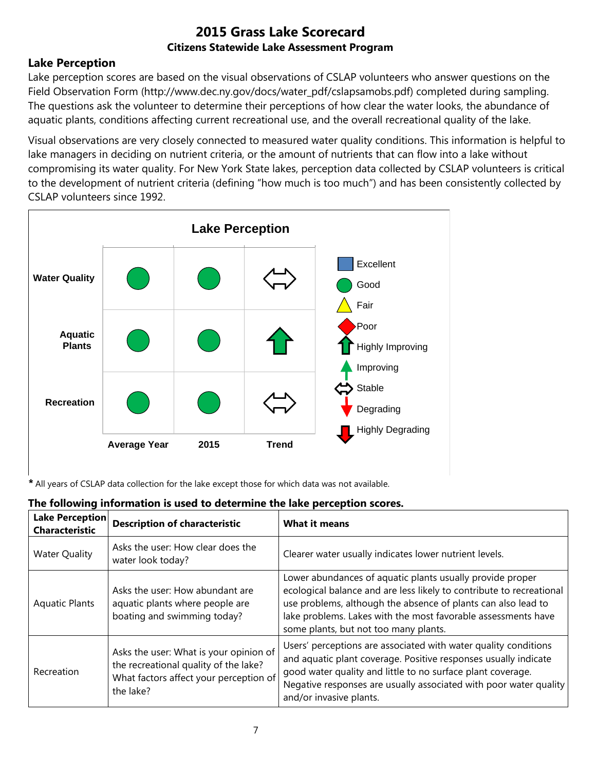### **Lake Perception**

Lake perception scores are based on the visual observations of CSLAP volunteers who answer questions on the Field Observation Form (http://www.dec.ny.gov/docs/water\_pdf/cslapsamobs.pdf) completed during sampling. The questions ask the volunteer to determine their perceptions of how clear the water looks, the abundance of aquatic plants, conditions affecting current recreational use, and the overall recreational quality of the lake.

Visual observations are very closely connected to measured water quality conditions. This information is helpful to lake managers in deciding on nutrient criteria, or the amount of nutrients that can flow into a lake without compromising its water quality. For New York State lakes, perception data collected by CSLAP volunteers is critical to the development of nutrient criteria (defining "how much is too much") and has been consistently collected by CSLAP volunteers since 1992.



*\** All years of CSLAP data collection for the lake except those for which data was not available.

|  |  | The following information is used to determine the lake perception scores. |
|--|--|----------------------------------------------------------------------------|
|  |  |                                                                            |

| <b>Lake Perception</b><br><b>Characteristic</b> | <b>Description of characteristic</b>                                                                                                   | <b>What it means</b>                                                                                                                                                                                                                                                                                         |
|-------------------------------------------------|----------------------------------------------------------------------------------------------------------------------------------------|--------------------------------------------------------------------------------------------------------------------------------------------------------------------------------------------------------------------------------------------------------------------------------------------------------------|
| <b>Water Quality</b>                            | Asks the user: How clear does the<br>water look today?                                                                                 | Clearer water usually indicates lower nutrient levels.                                                                                                                                                                                                                                                       |
| <b>Aquatic Plants</b>                           | Asks the user: How abundant are<br>aquatic plants where people are<br>boating and swimming today?                                      | Lower abundances of aquatic plants usually provide proper<br>ecological balance and are less likely to contribute to recreational<br>use problems, although the absence of plants can also lead to<br>lake problems. Lakes with the most favorable assessments have<br>some plants, but not too many plants. |
| Recreation                                      | Asks the user: What is your opinion of<br>the recreational quality of the lake?<br>What factors affect your perception of<br>the lake? | Users' perceptions are associated with water quality conditions<br>and aquatic plant coverage. Positive responses usually indicate<br>good water quality and little to no surface plant coverage.<br>Negative responses are usually associated with poor water quality<br>and/or invasive plants.            |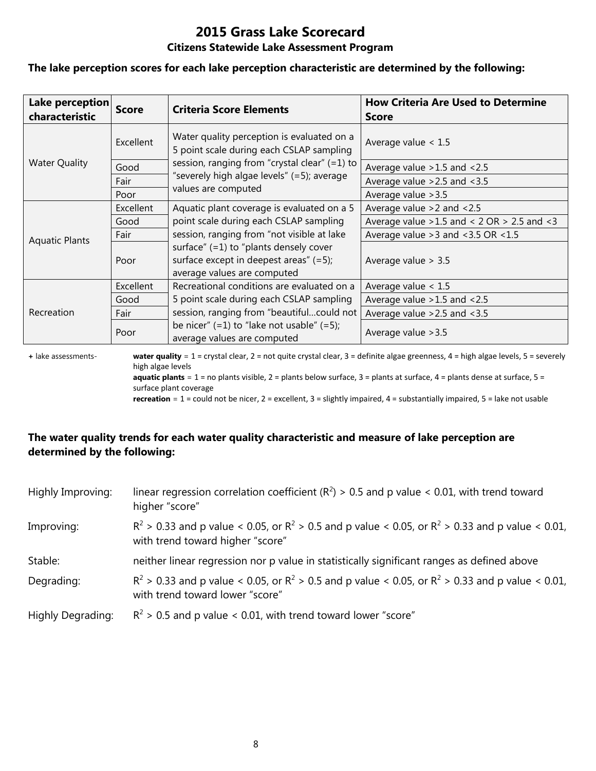#### **The lake perception scores for each lake perception characteristic are determined by the following:**

| Lake perception<br>characteristic | <b>Score</b>     | <b>Criteria Score Elements</b>                                                                                    | <b>How Criteria Are Used to Determine</b><br><b>Score</b> |
|-----------------------------------|------------------|-------------------------------------------------------------------------------------------------------------------|-----------------------------------------------------------|
|                                   | <b>Excellent</b> | Water quality perception is evaluated on a<br>5 point scale during each CSLAP sampling                            | Average value $< 1.5$                                     |
| <b>Water Quality</b>              | Good             | session, ranging from "crystal clear" (=1) to                                                                     | Average value > 1.5 and < 2.5                             |
|                                   | Fair             | "severely high algae levels" (=5); average                                                                        | Average value $>2.5$ and $<3.5$                           |
|                                   | Poor             | values are computed                                                                                               | Average value > 3.5                                       |
|                                   | Excellent        | Aquatic plant coverage is evaluated on a 5                                                                        | Average value $>2$ and $< 2.5$                            |
|                                   | Good             | point scale during each CSLAP sampling                                                                            | Average value $>1.5$ and < 2 OR $> 2.5$ and < 3           |
| <b>Aquatic Plants</b>             | Fair             | session, ranging from "not visible at lake                                                                        | Average value $>3$ and $<3.5$ OR $<1.5$                   |
|                                   | Poor             | surface" $(=1)$ to "plants densely cover<br>surface except in deepest areas" (=5);<br>average values are computed | Average value $> 3.5$                                     |
|                                   | Excellent        | Recreational conditions are evaluated on a                                                                        | Average value $< 1.5$                                     |
|                                   | Good             | 5 point scale during each CSLAP sampling                                                                          | Average value $>1.5$ and $<2.5$                           |
| Recreation                        | Fair             | session, ranging from "beautifulcould not                                                                         | Average value $>2.5$ and $<3.5$                           |
|                                   | Poor             | be nicer" $(=1)$ to "lake not usable" $(=5)$ ;<br>average values are computed                                     | Average value > 3.5                                       |

**+** lake assessments- **water quality** = 1 = crystal clear, 2 = not quite crystal clear, 3 = definite algae greenness, 4 = high algae levels, 5 = severely high algae levels **aquatic plants** = 1 = no plants visible, 2 = plants below surface, 3 = plants at surface, 4 = plants dense at surface, 5 =

surface plant coverage

**recreation** = 1 = could not be nicer, 2 = excellent, 3 = slightly impaired, 4 = substantially impaired, 5 = lake not usable

## **The water quality trends for each water quality characteristic and measure of lake perception are determined by the following:**

| Highly Improving:        | linear regression correlation coefficient ( $R^2$ ) > 0.5 and p value < 0.01, with trend toward<br>higher "score"                           |
|--------------------------|---------------------------------------------------------------------------------------------------------------------------------------------|
| Improving:               | $R^2 > 0.33$ and p value < 0.05, or $R^2 > 0.5$ and p value < 0.05, or $R^2 > 0.33$ and p value < 0.01,<br>with trend toward higher "score" |
| Stable:                  | neither linear regression nor p value in statistically significant ranges as defined above                                                  |
| Degrading:               | $R^2 > 0.33$ and p value < 0.05, or $R^2 > 0.5$ and p value < 0.05, or $R^2 > 0.33$ and p value < 0.01,<br>with trend toward lower "score"  |
| <b>Highly Degrading:</b> | $R^2$ > 0.5 and p value < 0.01, with trend toward lower "score"                                                                             |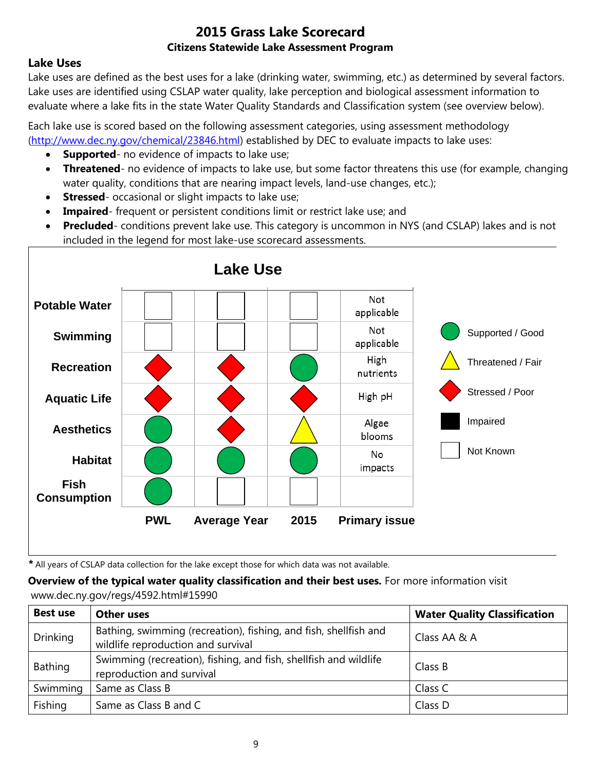#### **Lake Uses**

Lake uses are defined as the best uses for a lake (drinking water, swimming, etc.) as determined by several factors. Lake uses are identified using CSLAP water quality, lake perception and biological assessment information to evaluate where a lake fits in the state Water Quality Standards and Classification system (see overview below).

Each lake use is scored based on the following assessment categories, using assessment methodology [\(http://www.dec.ny.gov/chemical/23846.html\)](http://www.dec.ny.gov/chemical/23846.html) established by DEC to evaluate impacts to lake uses:

- **Supported** no evidence of impacts to lake use;
- **Threatened** no evidence of impacts to lake use, but some factor threatens this use (for example, changing water quality, conditions that are nearing impact levels, land-use changes, etc.);
- **Stressed** occasional or slight impacts to lake use;
- **Impaired** frequent or persistent conditions limit or restrict lake use; and
- **Precluded** conditions prevent lake use. This category is uncommon in NYS (and CSLAP) lakes and is not included in the legend for most lake-use scorecard assessments.



*\** All years of CSLAP data collection for the lake except those for which data was not available.

**Overview of the typical water quality classification and their best uses.** For more information visit www.dec.ny.gov/regs/4592.html#15990

| <b>Best use</b> | Other uses                                                                                             | <b>Water Quality Classification</b> |
|-----------------|--------------------------------------------------------------------------------------------------------|-------------------------------------|
| <b>Drinking</b> | Bathing, swimming (recreation), fishing, and fish, shellfish and<br>wildlife reproduction and survival | Class AA & A                        |
| Bathing         | Swimming (recreation), fishing, and fish, shellfish and wildlife<br>reproduction and survival          | Class B                             |
| Swimming        | Same as Class B                                                                                        | Class C                             |
| Fishing         | Same as Class B and C                                                                                  | Class D                             |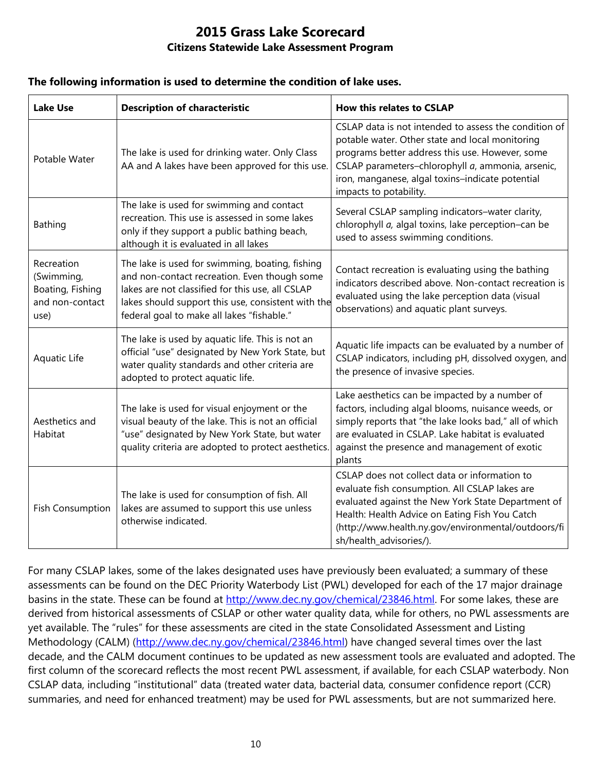#### **The following information is used to determine the condition of lake uses.**

| <b>Lake Use</b>                                                         | <b>Description of characteristic</b>                                                                                                                                                                                                                    | How this relates to CSLAP                                                                                                                                                                                                                                                                      |
|-------------------------------------------------------------------------|---------------------------------------------------------------------------------------------------------------------------------------------------------------------------------------------------------------------------------------------------------|------------------------------------------------------------------------------------------------------------------------------------------------------------------------------------------------------------------------------------------------------------------------------------------------|
| Potable Water                                                           | The lake is used for drinking water. Only Class<br>AA and A lakes have been approved for this use.                                                                                                                                                      | CSLAP data is not intended to assess the condition of<br>potable water. Other state and local monitoring<br>programs better address this use. However, some<br>CSLAP parameters-chlorophyll a, ammonia, arsenic,<br>iron, manganese, algal toxins-indicate potential<br>impacts to potability. |
| <b>Bathing</b>                                                          | The lake is used for swimming and contact<br>recreation. This use is assessed in some lakes<br>only if they support a public bathing beach,<br>although it is evaluated in all lakes                                                                    | Several CSLAP sampling indicators-water clarity,<br>chlorophyll a, algal toxins, lake perception-can be<br>used to assess swimming conditions.                                                                                                                                                 |
| Recreation<br>(Swimming,<br>Boating, Fishing<br>and non-contact<br>use) | The lake is used for swimming, boating, fishing<br>and non-contact recreation. Even though some<br>lakes are not classified for this use, all CSLAP<br>lakes should support this use, consistent with the<br>federal goal to make all lakes "fishable." | Contact recreation is evaluating using the bathing<br>indicators described above. Non-contact recreation is<br>evaluated using the lake perception data (visual<br>observations) and aquatic plant surveys.                                                                                    |
| Aquatic Life                                                            | The lake is used by aquatic life. This is not an<br>official "use" designated by New York State, but<br>water quality standards and other criteria are<br>adopted to protect aquatic life.                                                              | Aquatic life impacts can be evaluated by a number of<br>CSLAP indicators, including pH, dissolved oxygen, and<br>the presence of invasive species.                                                                                                                                             |
| Aesthetics and<br>Habitat                                               | The lake is used for visual enjoyment or the<br>visual beauty of the lake. This is not an official<br>"use" designated by New York State, but water<br>quality criteria are adopted to protect aesthetics.                                              | Lake aesthetics can be impacted by a number of<br>factors, including algal blooms, nuisance weeds, or<br>simply reports that "the lake looks bad," all of which<br>are evaluated in CSLAP. Lake habitat is evaluated<br>against the presence and management of exotic<br>plants                |
| <b>Fish Consumption</b>                                                 | The lake is used for consumption of fish. All<br>lakes are assumed to support this use unless<br>otherwise indicated.                                                                                                                                   | CSLAP does not collect data or information to<br>evaluate fish consumption. All CSLAP lakes are<br>evaluated against the New York State Department of<br>Health: Health Advice on Eating Fish You Catch<br>(http://www.health.ny.gov/environmental/outdoors/fi<br>sh/health_advisories/).      |

For many CSLAP lakes, some of the lakes designated uses have previously been evaluated; a summary of these assessments can be found on the DEC Priority Waterbody List (PWL) developed for each of the 17 major drainage basins in the state. These can be found at [http://www.dec.ny.gov/chemical/23846.html.](http://www.dec.ny.gov/chemical/23846.html) For some lakes, these are derived from historical assessments of CSLAP or other water quality data, while for others, no PWL assessments are yet available. The "rules" for these assessments are cited in the state Consolidated Assessment and Listing Methodology (CALM) [\(http://www.dec.ny.gov/chemical/23846.html\)](http://www.dec.ny.gov/chemical/23846.html) have changed several times over the last decade, and the CALM document continues to be updated as new assessment tools are evaluated and adopted. The first column of the scorecard reflects the most recent PWL assessment, if available, for each CSLAP waterbody. Non CSLAP data, including "institutional" data (treated water data, bacterial data, consumer confidence report (CCR) summaries, and need for enhanced treatment) may be used for PWL assessments, but are not summarized here.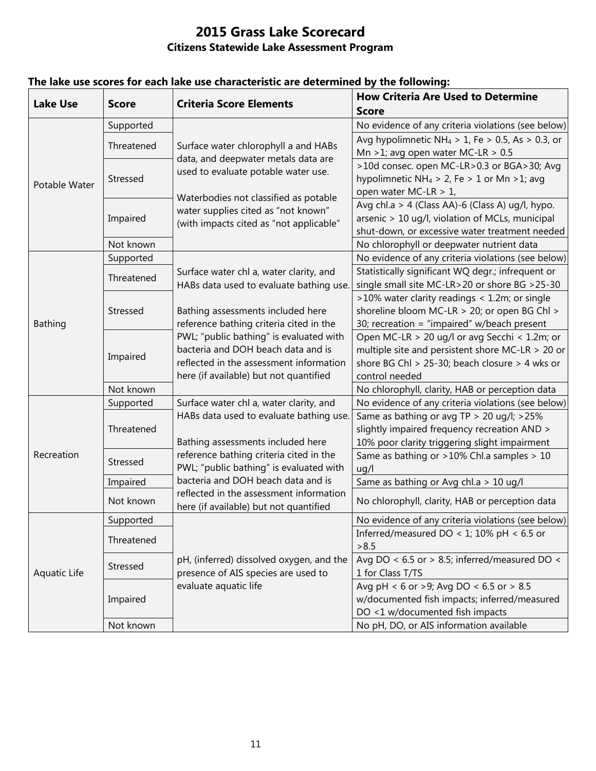| <b>Lake Use</b> | <b>Score</b> | <b>Criteria Score Elements</b>                                                                                     | <b>How Criteria Are Used to Determine</b><br><b>Score</b>    |
|-----------------|--------------|--------------------------------------------------------------------------------------------------------------------|--------------------------------------------------------------|
| Potable Water   | Supported    |                                                                                                                    | No evidence of any criteria violations (see below)           |
|                 |              | Surface water chlorophyll a and HABs<br>data, and deepwater metals data are<br>used to evaluate potable water use. | Avg hypolimnetic NH <sub>4</sub> > 1, Fe > 0.5, As > 0.3, or |
|                 | Threatened   |                                                                                                                    | Mn >1; avg open water MC-LR > $0.5$                          |
|                 | Stressed     |                                                                                                                    | >10d consec. open MC-LR>0.3 or BGA>30; Avg                   |
|                 |              |                                                                                                                    | hypolimnetic NH <sub>4</sub> > 2, Fe > 1 or Mn > 1; avg      |
|                 |              |                                                                                                                    | open water MC-LR > 1,                                        |
|                 | Impaired     | Waterbodies not classified as potable<br>water supplies cited as "not known"                                       | Avg chl.a > 4 (Class AA)-6 (Class A) ug/l, hypo.             |
|                 |              | (with impacts cited as "not applicable"                                                                            | arsenic > 10 ug/l, violation of MCLs, municipal              |
|                 |              |                                                                                                                    | shut-down, or excessive water treatment needed               |
|                 | Not known    |                                                                                                                    | No chlorophyll or deepwater nutrient data                    |
|                 | Supported    |                                                                                                                    | No evidence of any criteria violations (see below)           |
| <b>Bathing</b>  | Threatened   | Surface water chl a, water clarity, and                                                                            | Statistically significant WQ degr.; infrequent or            |
|                 |              | HABs data used to evaluate bathing use                                                                             | single small site MC-LR>20 or shore BG >25-30                |
|                 | Stressed     |                                                                                                                    | >10% water clarity readings < 1.2m; or single                |
|                 |              | Bathing assessments included here                                                                                  | shoreline bloom MC-LR > 20; or open BG Chl >                 |
|                 |              | reference bathing criteria cited in the                                                                            | 30; recreation = "impaired" w/beach present                  |
|                 |              | PWL; "public bathing" is evaluated with                                                                            | Open MC-LR > 20 ug/l or avg Secchi < 1.2m; or                |
|                 | Impaired     | bacteria and DOH beach data and is                                                                                 | multiple site and persistent shore MC-LR > 20 or             |
|                 |              | reflected in the assessment information                                                                            | shore BG Chl > 25-30; beach closure > 4 wks or               |
|                 |              | here (if available) but not quantified                                                                             | control needed                                               |
|                 | Not known    |                                                                                                                    | No chlorophyll, clarity, HAB or perception data              |
|                 | Supported    | Surface water chl a, water clarity, and                                                                            | No evidence of any criteria violations (see below)           |
|                 | Threatened   | HABs data used to evaluate bathing use.                                                                            | Same as bathing or avg TP > 20 ug/l; >25%                    |
|                 |              |                                                                                                                    | slightly impaired frequency recreation AND >                 |
|                 |              | Bathing assessments included here                                                                                  | 10% poor clarity triggering slight impairment                |
| Recreation      | Stressed     | reference bathing criteria cited in the                                                                            | Same as bathing or >10% Chl.a samples > 10                   |
|                 |              | PWL; "public bathing" is evaluated with                                                                            | uq/l                                                         |
|                 | Impaired     | bacteria and DOH beach data and is                                                                                 | Same as bathing or Avg chl.a > 10 ug/l                       |
|                 | Not known    | reflected in the assessment information<br>here (if available) but not quantified                                  | No chlorophyll, clarity, HAB or perception data              |
| Aquatic Life    | Supported    |                                                                                                                    | No evidence of any criteria violations (see below)           |
|                 | Threatened   |                                                                                                                    | Inferred/measured DO < 1; 10% pH < 6.5 or                    |
|                 |              |                                                                                                                    | >8.5                                                         |
|                 | Stressed     | pH, (inferred) dissolved oxygen, and the                                                                           | Avg DO < $6.5$ or > 8.5; inferred/measured DO <              |
|                 |              | presence of AIS species are used to                                                                                | 1 for Class T/TS                                             |
|                 | Impaired     | evaluate aquatic life                                                                                              | Avg pH < 6 or >9; Avg DO < 6.5 or > 8.5                      |
|                 |              |                                                                                                                    | w/documented fish impacts; inferred/measured                 |
|                 |              |                                                                                                                    | DO <1 w/documented fish impacts                              |
|                 | Not known    |                                                                                                                    | No pH, DO, or AIS information available                      |

## **The lake use scores for each lake use characteristic are determined by the following:**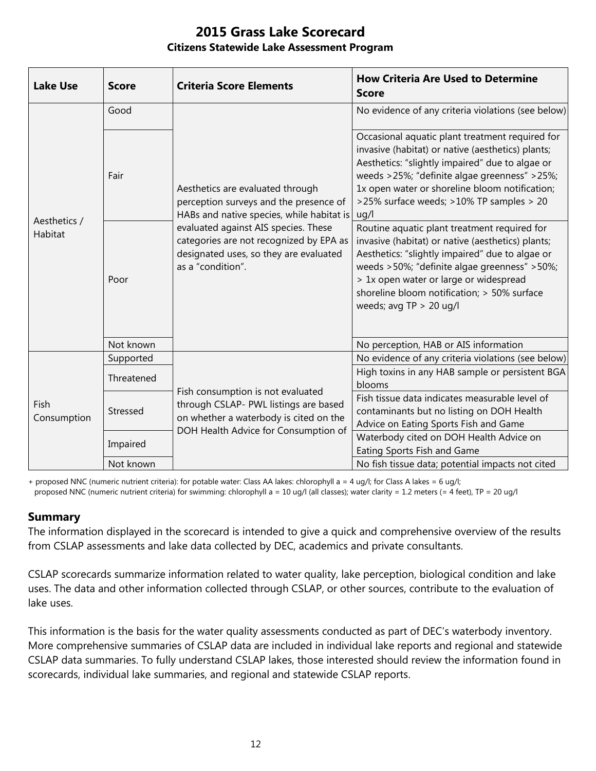| <b>Lake Use</b>         | <b>Score</b> | <b>Criteria Score Elements</b>                                                                                                                                                                                                                                            | <b>How Criteria Are Used to Determine</b><br><b>Score</b>                                                                                                                                                                                                                                                                  |
|-------------------------|--------------|---------------------------------------------------------------------------------------------------------------------------------------------------------------------------------------------------------------------------------------------------------------------------|----------------------------------------------------------------------------------------------------------------------------------------------------------------------------------------------------------------------------------------------------------------------------------------------------------------------------|
| Aesthetics /<br>Habitat | Good         | Aesthetics are evaluated through<br>perception surveys and the presence of<br>HABs and native species, while habitat is<br>evaluated against AIS species. These<br>categories are not recognized by EPA as<br>designated uses, so they are evaluated<br>as a "condition". | No evidence of any criteria violations (see below)                                                                                                                                                                                                                                                                         |
|                         | Fair         |                                                                                                                                                                                                                                                                           | Occasional aquatic plant treatment required for<br>invasive (habitat) or native (aesthetics) plants;<br>Aesthetics: "slightly impaired" due to algae or<br>weeds >25%; "definite algae greenness" >25%;<br>1x open water or shoreline bloom notification;<br>>25% surface weeds; >10% TP samples > 20<br>uq/l              |
|                         | Poor         |                                                                                                                                                                                                                                                                           | Routine aquatic plant treatment required for<br>invasive (habitat) or native (aesthetics) plants;<br>Aesthetics: "slightly impaired" due to algae or<br>weeds >50%; "definite algae greenness" >50%;<br>> 1x open water or large or widespread<br>shoreline bloom notification; > 50% surface<br>weeds; avg $TP > 20$ ug/l |
|                         | Not known    |                                                                                                                                                                                                                                                                           | No perception, HAB or AIS information                                                                                                                                                                                                                                                                                      |
| Fish<br>Consumption     | Supported    | Fish consumption is not evaluated<br>through CSLAP- PWL listings are based<br>on whether a waterbody is cited on the<br>DOH Health Advice for Consumption of                                                                                                              | No evidence of any criteria violations (see below)                                                                                                                                                                                                                                                                         |
|                         | Threatened   |                                                                                                                                                                                                                                                                           | High toxins in any HAB sample or persistent BGA<br>blooms                                                                                                                                                                                                                                                                  |
|                         | Stressed     |                                                                                                                                                                                                                                                                           | Fish tissue data indicates measurable level of<br>contaminants but no listing on DOH Health<br>Advice on Eating Sports Fish and Game                                                                                                                                                                                       |
|                         | Impaired     |                                                                                                                                                                                                                                                                           | Waterbody cited on DOH Health Advice on<br>Eating Sports Fish and Game                                                                                                                                                                                                                                                     |
|                         | Not known    |                                                                                                                                                                                                                                                                           | No fish tissue data; potential impacts not cited                                                                                                                                                                                                                                                                           |

+ proposed NNC (numeric nutrient criteria): for potable water: Class AA lakes: chlorophyll a = 4 ug/l; for Class A lakes = 6 ug/l; proposed NNC (numeric nutrient criteria) for swimming: chlorophyll a = 10 ug/l (all classes); water clarity = 1.2 meters (= 4 feet), TP = 20 ug/l

#### **Summary**

The information displayed in the scorecard is intended to give a quick and comprehensive overview of the results from CSLAP assessments and lake data collected by DEC, academics and private consultants.

CSLAP scorecards summarize information related to water quality, lake perception, biological condition and lake uses. The data and other information collected through CSLAP, or other sources, contribute to the evaluation of lake uses.

This information is the basis for the water quality assessments conducted as part of DEC's waterbody inventory. More comprehensive summaries of CSLAP data are included in individual lake reports and regional and statewide CSLAP data summaries. To fully understand CSLAP lakes, those interested should review the information found in scorecards, individual lake summaries, and regional and statewide CSLAP reports.